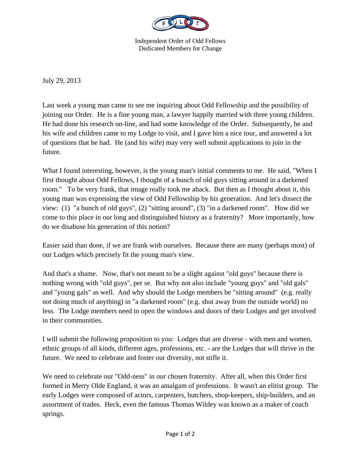

Independent Order of Odd Fellows Dedicated Members for Change

July 29, 2013

Last week a young man came to see me inquiring about Odd Fellowship and the possibility of joining our Order. He is a fine young man, a lawyer happily married with three young children. He had done his research on-line, and had some knowledge of the Order. Subsequently, he and his wife and children came to my Lodge to visit, and I gave him a nice tour, and answered a lot of questions that he had. He (and his wife) may very well submit applications to join in the future.

What I found interesting, however, is the young man's initial comments to me. He said, "When I first thought about Odd Fellows, I thought of a bunch of old guys sitting around in a darkened room." To be very frank, that image really took me aback. But then as I thought about it, this young man was expressing the view of Odd Fellowship by his generation. And let's dissect the view: (1) "a bunch of old guys", (2) "sitting around", (3) "in a darkened room". How did we come to this place in our long and distinguished history as a fraternity? More importantly, how do we disabuse his generation of this notion?

Easier said than done, if we are frank with ourselves. Because there are many (perhaps most) of our Lodges which precisely fit the young man's view.

And that's a shame. Now, that's not meant to be a slight against "old guys" because there is nothing wrong with "old guys", per se. But why not also include "young guys" and "old gals" and "young gals" as well. And why should the Lodge members be "sitting around" (e.g. really not doing much of anything) in "a darkened room" (e.g. shut away from the outside world) no less. The Lodge members need to open the windows and doors of their Lodges and get involved in their communities.

I will submit the following proposition to you: Lodges that are diverse - with men and women, ethnic groups of all kinds, different ages, professions, etc. - are the Lodges that will thrive in the future. We need to celebrate and foster our diversity, not stifle it.

We need to celebrate our "Odd-ness" in our chosen fraternity. After all, when this Order first formed in Merry Olde England, it was an amalgam of professions. It wasn't an elitist group. The early Lodges were composed of actors, carpenters, butchers, shop-keepers, ship-builders, and an assortment of trades. Heck, even the famous Thomas Wildey was known as a maker of coach springs.